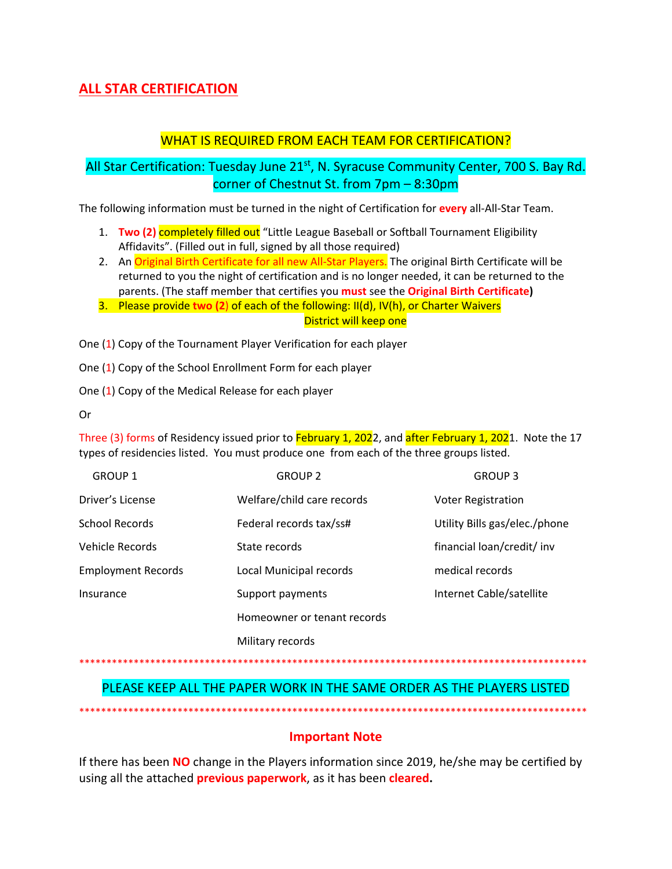## **ALL STAR CERTIFICATION**

### **WHAT IS REQUIRED FROM EACH TEAM FOR CERTIFICATION?**

## All Star Certification: Tuesday June 21<sup>st</sup>, N. Syracuse Community Center, 700 S. Bay Rd. corner of Chestnut St. from 7pm - 8:30pm

The following information must be turned in the night of Certification for every all-All-Star Team.

- 1. Two (2) completely filled out "Little League Baseball or Softball Tournament Eligibility Affidavits". (Filled out in full, signed by all those required)
- 2. An Original Birth Certificate for all new All-Star Players. The original Birth Certificate will be returned to you the night of certification and is no longer needed, it can be returned to the parents. (The staff member that certifies you must see the Original Birth Certificate)
- 3. Please provide two (2) of each of the following: II(d), IV(h), or Charter Waivers District will keep one

One (1) Copy of the Tournament Player Verification for each player

One (1) Copy of the School Enrollment Form for each player

One (1) Copy of the Medical Release for each player

**Or** 

Three (3) forms of Residency issued prior to February 1, 2022, and after February 1, 2021. Note the 17 types of residencies listed. You must produce one from each of the three groups listed.

| <b>GROUP 1</b>            | <b>GROUP 2</b>              | <b>GROUP 3</b>                |
|---------------------------|-----------------------------|-------------------------------|
| Driver's License          | Welfare/child care records  | <b>Voter Registration</b>     |
| School Records            | Federal records tax/ss#     | Utility Bills gas/elec./phone |
| Vehicle Records           | State records               | financial loan/credit/ inv    |
| <b>Employment Records</b> | Local Municipal records     | medical records               |
| Insurance                 | Support payments            | Internet Cable/satellite      |
|                           | Homeowner or tenant records |                               |
|                           | Military records            |                               |

#### 

# PLEASE KEEP ALL THE PAPER WORK IN THE SAME ORDER AS THE PLAYERS LISTED

#### **Important Note**

If there has been NO change in the Players information since 2019, he/she may be certified by using all the attached **previous paperwork**, as it has been **cleared**.